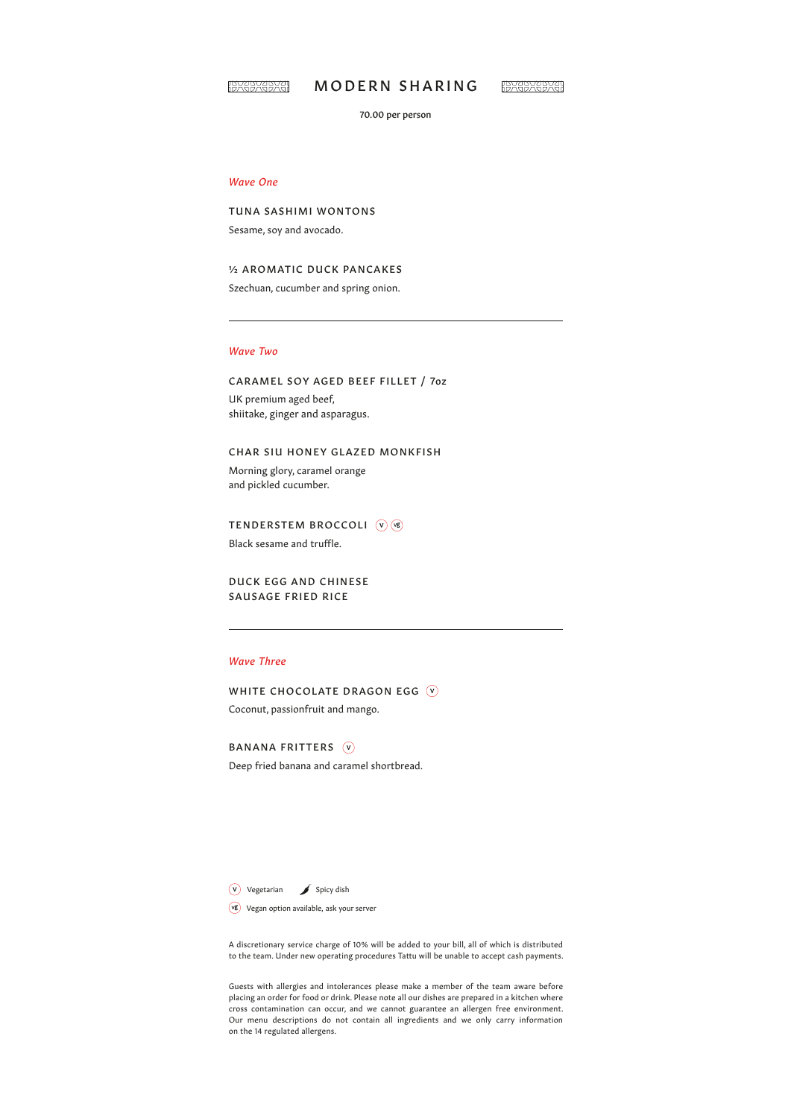

# MODERN SHARING

**IBYABYABYA!** 

70.00 per person

## *Wave One*

TUNA SASHIMI WONTONS Sesame, soy and avocado.

½ AROMATIC DUCK PANCAKES

Szechuan, cucumber and spring onion.

#### *Wave Two*

### CARAMEL SOY AGED BEEF FILLET / 7oz

UK premium aged beef, shiitake, ginger and asparagus.

# CHAR SIU HONEY GLAZED MONKFISH

Morning glory, caramel orange and pickled cucumber.

TENDERSTEM BROCCOLI (V) (VB)

Black sesame and truffle.

DUCK EGG AND CHINESE SAUSAGE FRIED RICE

# *Wave Three*

WHITE CHOCOLATE DRAGON EGG (V) Coconut, passionfruit and mango.

BANANA FRITTERS (V) Deep fried banana and caramel shortbread.

Vegetarian Spicy dish

Vegan option available, ask your server

A discretionary service charge of 10% will be added to your bill, all of which is distributed to the team. Under new operating procedures Tattu will be unable to accept cash payments.

Guests with allergies and intolerances please make a member of the team aware before placing an order for food or drink. Please note all our dishes are prepared in a kitchen where cross contamination can occur, and we cannot guarantee an allergen free environment. Our menu descriptions do not contain all ingredients and we only carry information on the 14 regulated allergens.